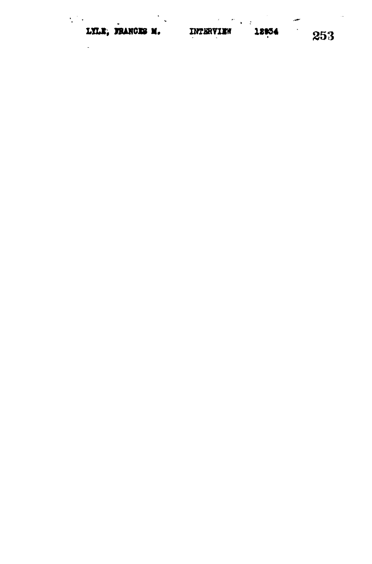| LYLE, FRANCES M. |  | INTERVIEW |  |
|------------------|--|-----------|--|

ę.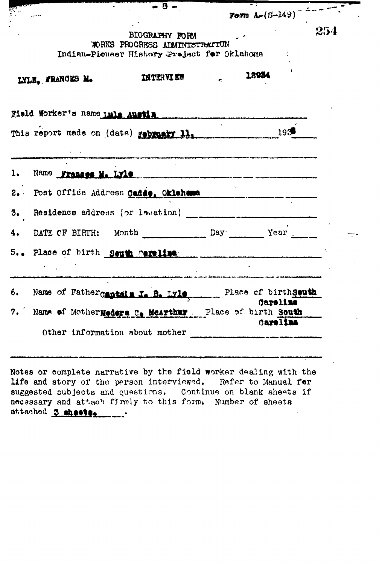|    |                                                                                              | BIOGRAPHY FORM<br>WORKS PROGRESS ADMINISTRATION                                                                    |              | Form $A = (3 - 149)^{-12}$<br>254 |
|----|----------------------------------------------------------------------------------------------|--------------------------------------------------------------------------------------------------------------------|--------------|-----------------------------------|
|    | LYLE, FRANCES M.                                                                             | Indian-Picuser History Prejact for Oklahoma<br>INTERVIEW                                                           | $\mathbf{c}$ | 12934                             |
|    | Field Worker's name und Austin                                                               |                                                                                                                    |              |                                   |
|    | This report made on (date) rebruary 11, 1938 1938                                            |                                                                                                                    |              |                                   |
|    | 1. Name Frances M. Lyle                                                                      |                                                                                                                    |              |                                   |
|    | 2. Post Office Address Cadde, Oklahama                                                       |                                                                                                                    |              |                                   |
| 3. |                                                                                              |                                                                                                                    |              |                                   |
| 4. | DATE OF BIRTH: Month Day Day Year                                                            |                                                                                                                    |              |                                   |
|    | 5 Place of birth South rerelize                                                              | .<br>Antonio Tributo de La Carlo de La Carlo de La Carlo de La Carlo de La Carlo de La Carlo de La Carlo de La Car |              | a boortomaan ammannaa maa omaan   |
|    | 6. Name of Father Captain J. B. Lyle, Place of birth seuth                                   |                                                                                                                    |              | Carelina                          |
|    | 7. Name of Mother Meders C. McArthur. Place of birth South<br>Other information about mother |                                                                                                                    |              | Carelina                          |

 $\overline{\phantom{a}}$ 

Notes or complete narrative by the field worker dealing with the life and story of the person interviewed. Refer to Manual for suggested subjects and questions. Continue on blank sheets if<br>necessary and attach firmly to this form. Number of sheets attached 3 sheets.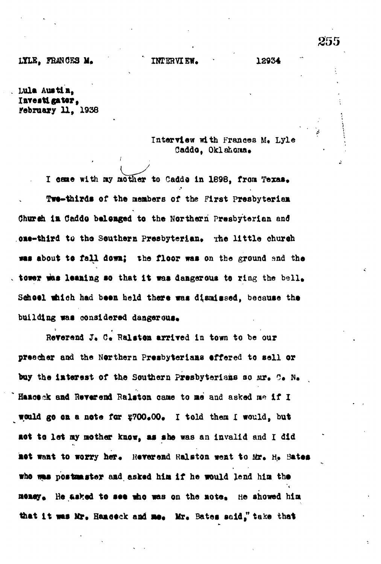255

**Lula Austin, Investigator, February 11, 1938**

> **Interview with Frances M. Lyle** Caddo. Oklahona.

I came with my mother to Cadde in 1898, from Texas. **Twe-thirds of the members of the First Presbyterian Chureh in Caddo belonged to the Northern Presbyterian and one-third to the Southern Presbyterian.** The little church **was about to fall down} the floor was on the ground and the** tower was leaning so that it was dangerous to ring the bell. School which had been held there was dismissed, because the building was considered dangerous.

Reverend J. C. Ralston arrived in town to be our **preacher and the Northern Presbyterians tffered to sell or** buy the interest of the Southern Presbyterians so  $M*$ .  $C$ . N. Hamceck and Reverend Ralston came to me and asked me if I would go on a note for \$700.00. I told them I would, but aot to let my mother know, as she was an invalid and I did mot want to worry her. Reverend Ralston went to Mr. H. Bates **who was postmaster and asked him If he would lend him the** nemey. He asked to see who was on the note, He showed him that it was Mr. Banceck and me. Mr. Bates said," take that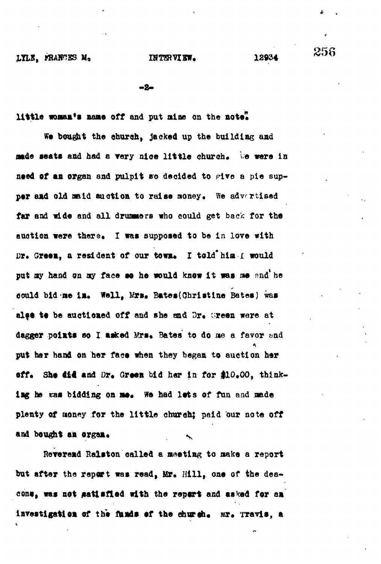**- 2 -**

little woman's name off and put nine on the note".

**Wo bought the church, jacked up the building and jade seats and had a very nice little church. We were in** need of an organ and pulpit so decided to give a pie supper and old maid auction to raise money. We advertised far and wide and all drummers who could get back for the auction were there. I was supposed to be in love with Dr. Green, a resident of our town. I told<sup>\*</sup>him. I would put my hand on my face so he would know it was me and he could bid-me in. Well, Mrs. Bates(Christine Bates) was alse te be auctioned off and she and Dr. Wreen were at dagger points so I asked Mrs. Bates to do me a favor and put her hand on her face when they began to auction her off. She did and Dr. Green bid her in for \$10.00, thinking he was bidding on me. We had lots of fun and made plenty of money for the little church; paid our note off and bought an organ.

Reverend Ralston called a meeting to make a report but after the report was read, Mr. Hill, one of the dea**cons, was not satisfied with the report and asked for an** investigation of the funds of the church. Mr. Travis, a